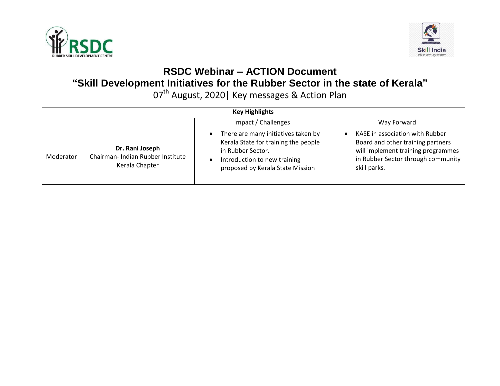



## **RSDC Webinar – ACTION Document "Skill Development Initiatives for the Rubber Sector in the state of Kerala"**

07<sup>th</sup> August, 2020| Key messages & Action Plan

| <b>Key Highlights</b> |                                                                        |                                                                                                                                                                      |                                                                                                                                                                  |
|-----------------------|------------------------------------------------------------------------|----------------------------------------------------------------------------------------------------------------------------------------------------------------------|------------------------------------------------------------------------------------------------------------------------------------------------------------------|
|                       |                                                                        | Impact / Challenges                                                                                                                                                  | Way Forward                                                                                                                                                      |
| Moderator             | Dr. Rani Joseph<br>Chairman- Indian Rubber Institute<br>Kerala Chapter | There are many initiatives taken by<br>Kerala State for training the people<br>in Rubber Sector.<br>Introduction to new training<br>proposed by Kerala State Mission | KASE in association with Rubber<br>Board and other training partners<br>will implement training programmes<br>in Rubber Sector through community<br>skill parks. |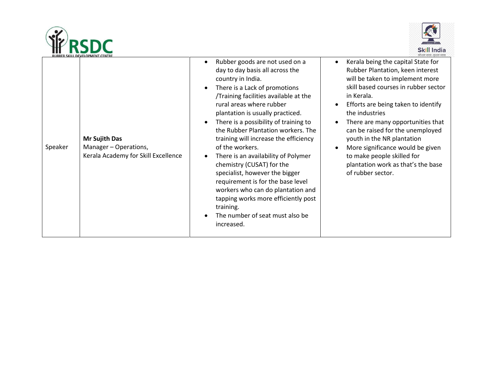



|         | RUBBER SKILL DEVELOPMENT CENTRE                                                      |                                                                                                                                                                                                                                                                                                                                                                                                                                                                                                                                                                                                                                                                  | कौशल भारत-कशल भारत                                                                                                                                                                                                                                                                                                                                                                                                                                           |
|---------|--------------------------------------------------------------------------------------|------------------------------------------------------------------------------------------------------------------------------------------------------------------------------------------------------------------------------------------------------------------------------------------------------------------------------------------------------------------------------------------------------------------------------------------------------------------------------------------------------------------------------------------------------------------------------------------------------------------------------------------------------------------|--------------------------------------------------------------------------------------------------------------------------------------------------------------------------------------------------------------------------------------------------------------------------------------------------------------------------------------------------------------------------------------------------------------------------------------------------------------|
| Speaker | <b>Mr Sujith Das</b><br>Manager - Operations,<br>Kerala Academy for Skill Excellence | Rubber goods are not used on a<br>day to day basis all across the<br>country in India.<br>There is a Lack of promotions<br>/Training facilities available at the<br>rural areas where rubber<br>plantation is usually practiced.<br>There is a possibility of training to<br>the Rubber Plantation workers. The<br>training will increase the efficiency<br>of the workers.<br>There is an availability of Polymer<br>chemistry (CUSAT) for the<br>specialist, however the bigger<br>requirement is for the base level<br>workers who can do plantation and<br>tapping works more efficiently post<br>training.<br>The number of seat must also be<br>increased. | Kerala being the capital State for<br>Rubber Plantation, keen interest<br>will be taken to implement more<br>skill based courses in rubber sector<br>in Kerala.<br>Efforts are being taken to identify<br>the industries<br>There are many opportunities that<br>can be raised for the unemployed<br>youth in the NR plantation<br>More significance would be given<br>to make people skilled for<br>plantation work as that's the base<br>of rubber sector. |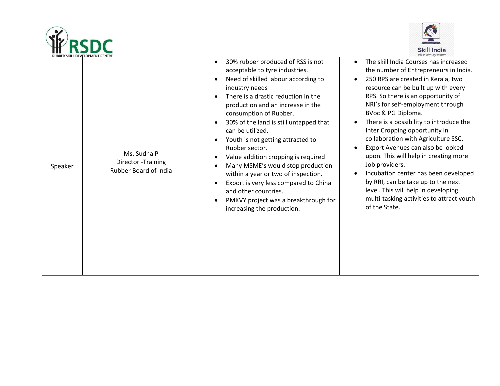



|         | RUBBER SKILL DEVELOPMENT CENTRE                             |                                                                                                                                                                                                                                                                                                                                                                                                                                                                                                                                                                                                                                                                                                                                        | काशल भारत - कशल भारत                                                                                                                                                                                                                                                                                                                                                                                                                                                                                                                                                                                                                                               |
|---------|-------------------------------------------------------------|----------------------------------------------------------------------------------------------------------------------------------------------------------------------------------------------------------------------------------------------------------------------------------------------------------------------------------------------------------------------------------------------------------------------------------------------------------------------------------------------------------------------------------------------------------------------------------------------------------------------------------------------------------------------------------------------------------------------------------------|--------------------------------------------------------------------------------------------------------------------------------------------------------------------------------------------------------------------------------------------------------------------------------------------------------------------------------------------------------------------------------------------------------------------------------------------------------------------------------------------------------------------------------------------------------------------------------------------------------------------------------------------------------------------|
| Speaker | Ms. Sudha P<br>Director - Training<br>Rubber Board of India | 30% rubber produced of RSS is not<br>$\bullet$<br>acceptable to tyre industries.<br>Need of skilled labour according to<br>$\bullet$<br>industry needs<br>There is a drastic reduction in the<br>$\bullet$<br>production and an increase in the<br>consumption of Rubber.<br>30% of the land is still untapped that<br>$\bullet$<br>can be utilized.<br>Youth is not getting attracted to<br>$\bullet$<br>Rubber sector.<br>Value addition cropping is required<br>$\bullet$<br>Many MSME's would stop production<br>$\bullet$<br>within a year or two of inspection.<br>Export is very less compared to China<br>$\bullet$<br>and other countries.<br>PMKVY project was a breakthrough for<br>$\bullet$<br>increasing the production. | The skill India Courses has increased<br>the number of Entrepreneurs in India.<br>250 RPS are created in Kerala, two<br>resource can be built up with every<br>RPS. So there is an opportunity of<br>NRI's for self-employment through<br>BVoc & PG Diploma.<br>There is a possibility to introduce the<br>Inter Cropping opportunity in<br>collaboration with Agriculture SSC.<br>Export Avenues can also be looked<br>upon. This will help in creating more<br>Job providers.<br>Incubation center has been developed<br>by RRI, can be take up to the next<br>level. This will help in developing<br>multi-tasking activities to attract youth<br>of the State. |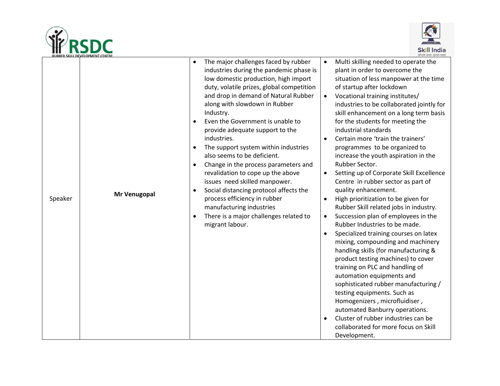



|         | <b>RUBBER SKILL DEVELOPMENT CENTRE</b> |                                                                                                                                                                                                                                                                                                                                                                                                                                                                                                                                                                                                                                                                                                                                                 | कौशल भारत - कशल भारत                                                                                                                                                                                                                                                                                                                                                                                                                                                                                                                                                                                                                                                                                                                                                                                                                                                                                                                                                                                                                                                                                                                                                                                                                                                         |
|---------|----------------------------------------|-------------------------------------------------------------------------------------------------------------------------------------------------------------------------------------------------------------------------------------------------------------------------------------------------------------------------------------------------------------------------------------------------------------------------------------------------------------------------------------------------------------------------------------------------------------------------------------------------------------------------------------------------------------------------------------------------------------------------------------------------|------------------------------------------------------------------------------------------------------------------------------------------------------------------------------------------------------------------------------------------------------------------------------------------------------------------------------------------------------------------------------------------------------------------------------------------------------------------------------------------------------------------------------------------------------------------------------------------------------------------------------------------------------------------------------------------------------------------------------------------------------------------------------------------------------------------------------------------------------------------------------------------------------------------------------------------------------------------------------------------------------------------------------------------------------------------------------------------------------------------------------------------------------------------------------------------------------------------------------------------------------------------------------|
| Speaker | Mr Venugopal                           | The major challenges faced by rubber<br>industries during the pandemic phase is<br>low domestic production, high import<br>duty, volatile prizes, global competition<br>and drop in demand of Natural Rubber<br>along with slowdown in Rubber<br>Industry.<br>Even the Government is unable to<br>$\bullet$<br>provide adequate support to the<br>industries.<br>The support system within industries<br>$\bullet$<br>also seems to be deficient.<br>Change in the process parameters and<br>revalidation to cope up the above<br>issues need skilled manpower.<br>Social distancing protocol affects the<br>$\bullet$<br>process efficiency in rubber<br>manufacturing industries<br>There is a major challenges related to<br>migrant labour. | Multi skilling needed to operate the<br>$\bullet$<br>plant in order to overcome the<br>situation of less manpower at the time<br>of startup after lockdown<br>Vocational training institutes/<br>$\bullet$<br>industries to be collaborated jointly for<br>skill enhancement on a long term basis<br>for the students for meeting the<br>industrial standards<br>Certain more 'train the trainers'<br>programmes to be organized to<br>increase the youth aspiration in the<br>Rubber Sector.<br>Setting up of Corporate Skill Excellence<br>$\bullet$<br>Centre in rubber sector as part of<br>quality enhancement.<br>High prioritization to be given for<br>$\bullet$<br>Rubber Skill related jobs in industry.<br>Succession plan of employees in the<br>$\bullet$<br>Rubber Industries to be made.<br>Specialized training courses on latex<br>mixing, compounding and machinery<br>handling skills (for manufacturing &<br>product testing machines) to cover<br>training on PLC and handling of<br>automation equipments and<br>sophisticated rubber manufacturing /<br>testing equipments. Such as<br>Homogenizers, microfluidiser,<br>automated Banburry operations.<br>Cluster of rubber industries can be<br>collaborated for more focus on Skill<br>Development. |